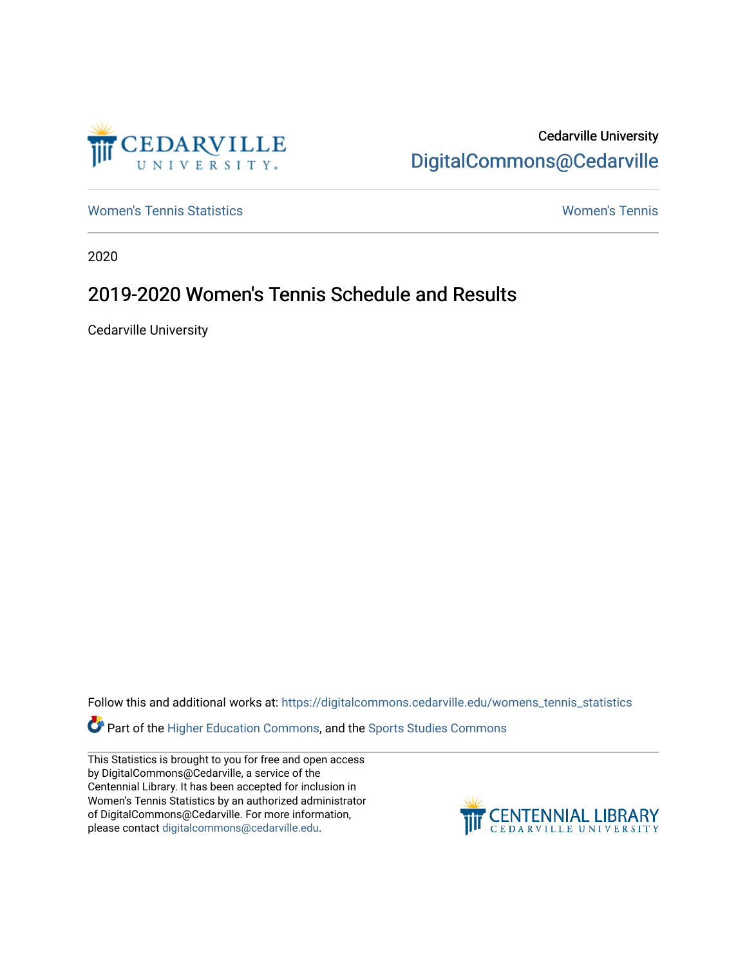

Cedarville University [DigitalCommons@Cedarville](https://digitalcommons.cedarville.edu/) 

[Women's Tennis Statistics](https://digitalcommons.cedarville.edu/womens_tennis_statistics) [Women's Tennis](https://digitalcommons.cedarville.edu/womens_tennis) 

2020

## 2019-2020 Women's Tennis Schedule and Results

Cedarville University

Follow this and additional works at: [https://digitalcommons.cedarville.edu/womens\\_tennis\\_statistics](https://digitalcommons.cedarville.edu/womens_tennis_statistics?utm_source=digitalcommons.cedarville.edu%2Fwomens_tennis_statistics%2F41&utm_medium=PDF&utm_campaign=PDFCoverPages) 

Part of the [Higher Education Commons,](http://network.bepress.com/hgg/discipline/1245?utm_source=digitalcommons.cedarville.edu%2Fwomens_tennis_statistics%2F41&utm_medium=PDF&utm_campaign=PDFCoverPages) and the [Sports Studies Commons](http://network.bepress.com/hgg/discipline/1198?utm_source=digitalcommons.cedarville.edu%2Fwomens_tennis_statistics%2F41&utm_medium=PDF&utm_campaign=PDFCoverPages) 

This Statistics is brought to you for free and open access by DigitalCommons@Cedarville, a service of the Centennial Library. It has been accepted for inclusion in Women's Tennis Statistics by an authorized administrator of DigitalCommons@Cedarville. For more information, please contact [digitalcommons@cedarville.edu](mailto:digitalcommons@cedarville.edu).